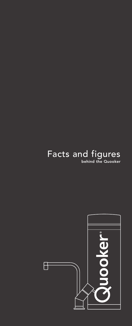### Facts and figures **behind the Quooker**

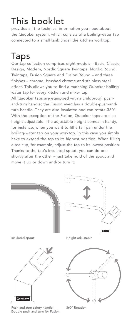## This booklet

provides all the technical information you need about the Quooker system, which consists of a boiling-water tap connected to a small tank under the kitchen worktop.

## Taps

Our tap collection comprises eight models – Basic, Classic, Design, Modern, Nordic Square Twintaps, Nordic Round Twintaps, Fusion Square and Fusion Round – and three finishes – chrome, brushed chrome and stainless steel effect. This allows you to find a matching Quooker boilingwater tap for every kitchen and mixer tap.

All Quooker taps are equipped with a childproof, pushand-turn handle; the Fusion even has a double-push-andturn handle. They are also insulated and can rotate 360°. With the exception of the Fusion, Quooker taps are also height adjustable. The adjustable height comes in handy, for instance, when you want to fill a tall pan under the boiling-water tap on your worktop. In this case you simply have to extend the tap to its highest position. When filling a tea cup, for example, adjust the tap to its lowest position. Thanks to the tap's insulated spout, you can do one shortly after the other – just take hold of the spout and move it up or down and/or turn it.



Push-and-turn safety handle Double push-and-turn for Fusion

360° Rotation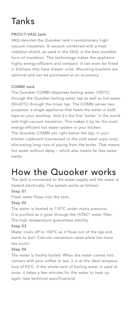## Tanks

#### **PRO3/7-VAQ tank**

VAQ denotes the Quooker tank's revolutionary highvacuum insulation. A vacuum combined with a heat radiation shield, as used in the VAQ, is the best possible form of insulation. This technology makes the appliance highly energy-efficient and compact. It can even be fitted in kitchens that have drawer units. Mounting brackets are optional and can be purchased as an accessory.

#### **COMBI tank**

The Quooker COMBI dispenses boiling water (100°C) through the Quooker boiling-water tap as well as hot water (50-65°C) through the mixer tap. The COMBI serves two purposes: a single appliance that heats the water in both taps on your worktop. And it's the first 'boiler' in the world with high-vacuum insulation. This makes it by far the most energy-efficient hot water system in your kitchen. The Quooker COMBI sits right below the tap, in your kitchen cupboard (connected to the cold water pipe only), eliminating long runs of piping from the boiler. That means hot water without delay – which also means far less water waste.

### How the Quooker works

The tank is connected to the water supply and the water is heated electrically. The system works as follows:

#### **Step 01**

Fresh water flows into the tank.

#### **Step 02**

The water is heated to 110°C under mains pressure. It is purified as it goes through the HiTAC® water filter. The high temperature guarantees sterility. **Step 03**

Water cools off to 100°C as it flows out of the tap and starts to boil. Calcium conversion takes place (no more tea scum).

#### **Step 04**

The water is freshly boiled. When the water comes into contact with your coffee or tea, it is at the ideal temperature of 93°C. If the whole tank of boiling water is used at once, it takes a few minutes for the water to heat up again (see technical specifications).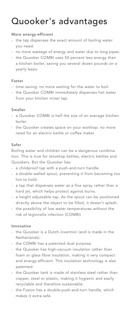### Quooker's advantages

#### **More energy-efficient**

- the tap dispenses the exact amount of boiling water you need.
- no more wastage of energy and water due to long pipes.
- the Quooker COMBI uses 50 percent less energy than a kitchen boiler, saving you several dozen pounds on a yearly basis.

#### **Faster**

- time saving: no more waiting for the water to boil.
- the Quooker COMBI immediately dispenses hot water from your kitchen mixer tap.

#### **Smaller**

- a Quooker COMBI is half the size of an average kitchen boiler.
- the Quooker creates space on your worktop: no more need for an electric kettle or coffee maker.

#### **Safer**

Boiling water and children can be a dangerous combination. This is true for stovetop kettles, electric kettles and Quookers. But the Quooker has:

- a childproof tap with a push-and-turn handle.
- a double-walled spout, preventing it from becoming too hot to hold.
- a tap that dispenses water as a fine spray rather than a hard jet, which helps protect against burns.
- a height adjustable tap. As the spout can be positioned directly above the object to be filled, it doesn't splash.
- the possibility of low water temperatures without the risk of legionella infection (COMBI).

#### **Innovative**

- the Quooker is a Dutch invention (and is made in the Netherlands).
- the COMBI has a patented dual purpose.
- the Quooker has high-vacuum insulation rather than foam or glass fibre insulation, making it very compact and energy-efficient. This insulation technology is also patented.
- the Quooker tank is made of stainless steel rather than copper, steel or plastic, making it hygienic and easily recyclable and therefore sustainable.
- the Fusion has a double-push-and-turn handle, which makes it extra safe.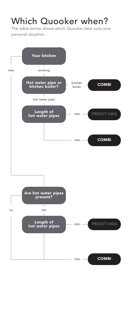### Which Quooker when?

The table below shows which Quooker best suits your personal situation.

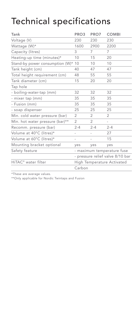## Technical specifications

| Tank                               | PRO3                              | PRO7    | <b>COMBI</b> |
|------------------------------------|-----------------------------------|---------|--------------|
| Voltage (V)                        | 230                               | 230     | 230          |
| Wattage (W)*                       | 1600                              | 2900    | 2200         |
| Capacity (litres)                  | 3                                 | 7       | 7            |
| Heating-up time (minutes)*         | 10                                | 15      | 20           |
| Stand-by power consumption (W)* 10 |                                   | 10      | 10           |
| Tank height (cm)                   | 40                                | 47      | 47           |
| Total height requirement (cm)      | 48                                | 55      | 55           |
| Tank diameter (cm)                 | 15                                | 20      | 20           |
| Tap hole                           |                                   |         |              |
| - boiling-water-tap (mm)           | 32                                | 32      | 32           |
| - mixer tap (mm)                   | 35                                | 35      | 35           |
| - Fusion (mm)                      | 35                                | 35      | 35           |
| - soap dispenser                   | 25                                | 25      | 25           |
| Min. cold water pressure (bar)     | 2                                 | 2       | 2            |
| Min. hot water pressure (bar)**    | $\overline{2}$                    | 2       |              |
| Recomm. pressure (bar)             | $2 - 4$                           | $2 - 4$ | $2 - 4$      |
| Volume at 40°C (litres)*           |                                   |         | 27           |
| Volume at 60°C (litres)*           | $\overline{\phantom{0}}$          |         | 15           |
| Mounting bracket optional          | yes                               | yes     | yes          |
| Safety feature                     | - maximum temperature fuse        |         |              |
|                                    | - pressure relief valve 8/10 bar  |         |              |
| HiTAC <sup>®</sup> water filter    | <b>High Temperature Activated</b> |         |              |
|                                    | Carbon                            |         |              |

\*These are average values.

\*\*Only applicable for Nordic Twintaps and Fusion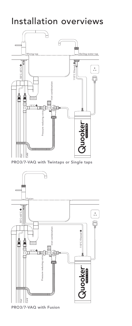### Installation overviews



**PRO3/7-VAQ with Fusion**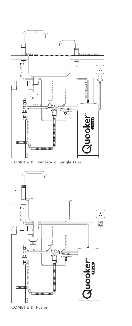

**COMBI with Twintaps or Single taps**



**COMBI with Fusion**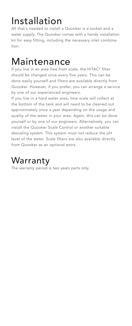# Installation

All that's needed to install a Quooker is a socket and a water supply. The Quooker comes with a handy installation kit for easy fitting, including the necessary inlet combination.

## **Maintenance**

If you live in an area free from scale, the HiTAC® filter should be changed once every five years. This can be done easily yourself and filters are available directly from Quooker. However, if you prefer, you can arrange a service by one of our experienced engineers.

If you live in a hard water area, lime scale will collect at the bottom of the tank and will need to be cleaned out approximately once a year depending on the usage and quality of the water in your area. Again, this can be done yourself or by one of our engineers. Alternatively, you can install the Quooker Scale Control or another suitable descaling system. This system must not reduce the pH level of the water. Scale filters are also available directly from Quooker as an optional extra.

### Warranty

The warranty period is two years parts only.